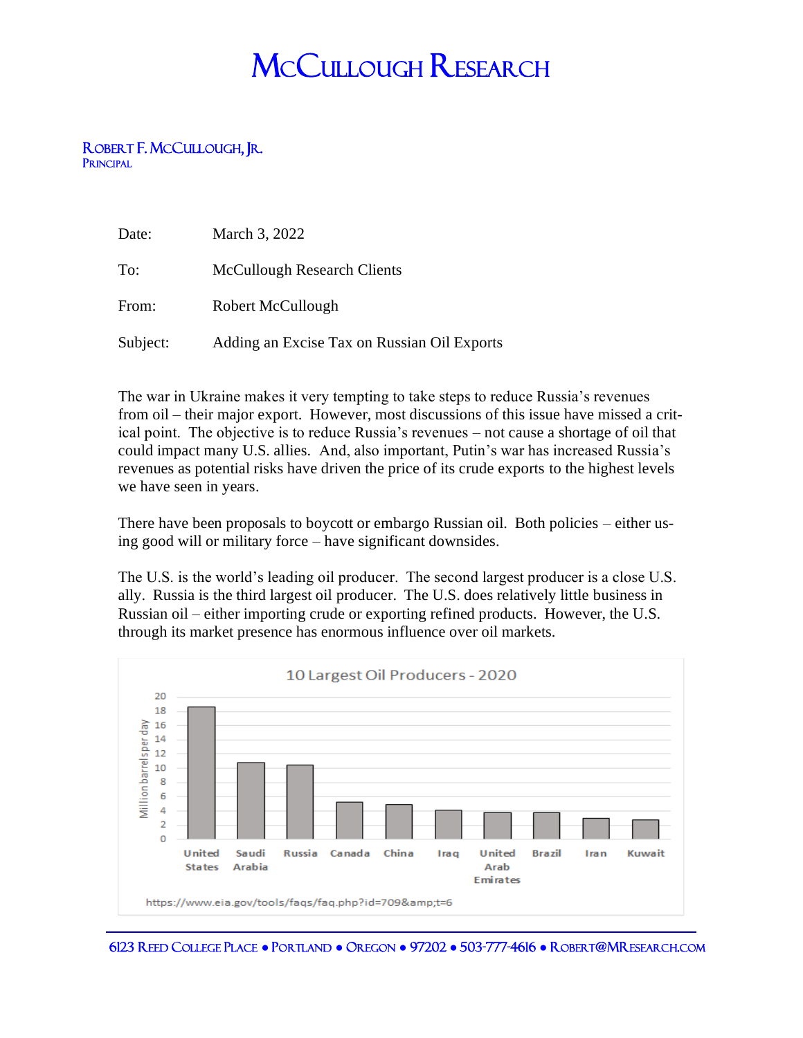## MCCULLOUGH RESEARCH

## ROBERT F. MCCULLOUGH<mark>, J</mark>R.<br>Principal

| Date:    | March 3, 2022                               |
|----------|---------------------------------------------|
| To:      | <b>McCullough Research Clients</b>          |
| From:    | Robert McCullough                           |
| Subject: | Adding an Excise Tax on Russian Oil Exports |

The war in Ukraine makes it very tempting to take steps to reduce Russia's revenues from oil – their major export. However, most discussions of this issue have missed a critical point. The objective is to reduce Russia's revenues – not cause a shortage of oil that could impact many U.S. allies. And, also important, Putin's war has increased Russia's revenues as potential risks have driven the price of its crude exports to the highest levels we have seen in years.

There have been proposals to boycott or embargo Russian oil. Both policies – either using good will or military force – have significant downsides.

The U.S. is the world's leading oil producer. The second largest producer is a close U.S. ally. Russia is the third largest oil producer. The U.S. does relatively little business in Russian oil – either importing crude or exporting refined products. However, the U.S. through its market presence has enormous influence over oil markets.



6123 REED COLLEGE PLACE **●** PORTLAND **●** OREGON **●** 97202 **●** 503-777-4616 **●** ROBERT@MRESEARCH.COM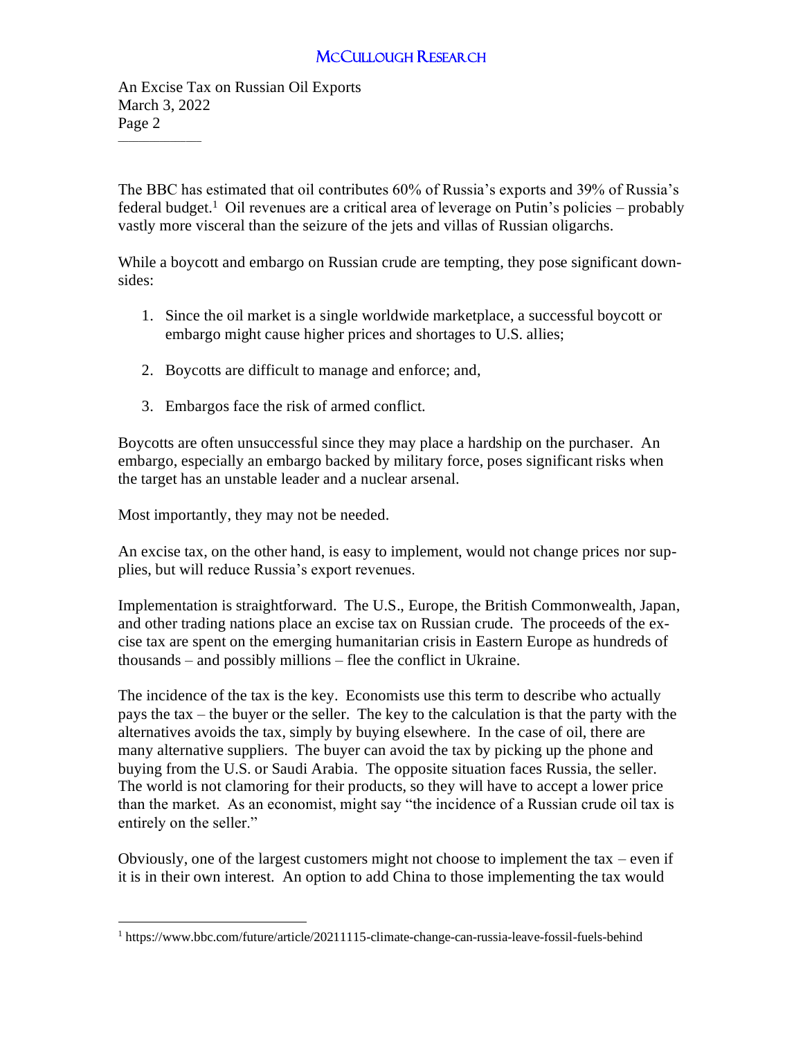## MCCULLOUGH RESEARCH

An Excise Tax on Russian Oil Exports March 3, 2022 Page 2

 $\overline{\phantom{a}}$  , where  $\overline{\phantom{a}}$ 

The BBC has estimated that oil contributes 60% of Russia's exports and 39% of Russia's federal budget.<sup>1</sup> Oil revenues are a critical area of leverage on Putin's policies – probably vastly more visceral than the seizure of the jets and villas of Russian oligarchs.

While a boycott and embargo on Russian crude are tempting, they pose significant downsides:

- 1. Since the oil market is a single worldwide marketplace, a successful boycott or embargo might cause higher prices and shortages to U.S. allies;
- 2. Boycotts are difficult to manage and enforce; and,
- 3. Embargos face the risk of armed conflict.

Boycotts are often unsuccessful since they may place a hardship on the purchaser. An embargo, especially an embargo backed by military force, poses significant risks when the target has an unstable leader and a nuclear arsenal.

Most importantly, they may not be needed.

An excise tax, on the other hand, is easy to implement, would not change prices nor supplies, but will reduce Russia's export revenues.

Implementation is straightforward. The U.S., Europe, the British Commonwealth, Japan, and other trading nations place an excise tax on Russian crude. The proceeds of the excise tax are spent on the emerging humanitarian crisis in Eastern Europe as hundreds of thousands – and possibly millions – flee the conflict in Ukraine.

The incidence of the tax is the key. Economists use this term to describe who actually pays the tax – the buyer or the seller. The key to the calculation is that the party with the alternatives avoids the tax, simply by buying elsewhere. In the case of oil, there are many alternative suppliers. The buyer can avoid the tax by picking up the phone and buying from the U.S. or Saudi Arabia. The opposite situation faces Russia, the seller. The world is not clamoring for their products, so they will have to accept a lower price than the market. As an economist, might say "the incidence of a Russian crude oil tax is entirely on the seller."

Obviously, one of the largest customers might not choose to implement the tax – even if it is in their own interest. An option to add China to those implementing the tax would

<sup>&</sup>lt;sup>1</sup> https://www.bbc.com/future/article/20211115-climate-change-can-russia-leave-fossil-fuels-behind